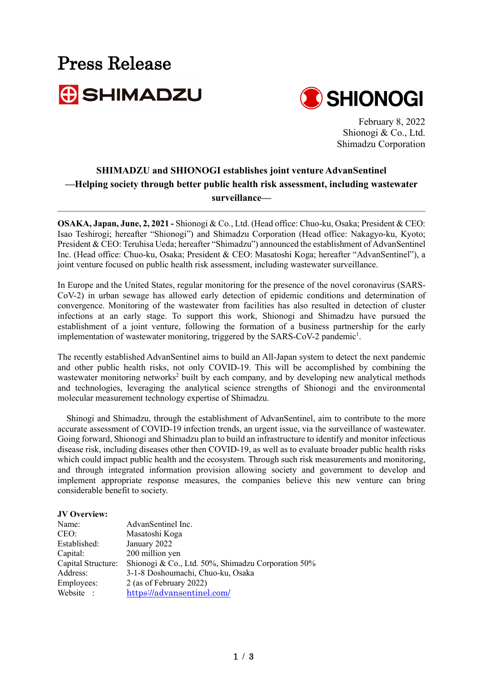# Press Release



February 8, 2022 Shionogi & Co., Ltd. Shimadzu Corporation

#### **SHIMADZU and SHIONOGI establishes joint venture AdvanSentinel —Helping society through better public health risk assessment, including wastewater surveillance—**

**OSAKA, Japan, June, 2, 2021 -** Shionogi & Co., Ltd. (Head office: Chuo-ku, Osaka; President & CEO: Isao Teshirogi; hereafter "Shionogi") and Shimadzu Corporation (Head office: Nakagyo-ku, Kyoto; President & CEO: Teruhisa Ueda; hereafter "Shimadzu") announced the establishment of AdvanSentinel Inc. (Head office: Chuo-ku, Osaka; President & CEO: Masatoshi Koga; hereafter "AdvanSentinel"), a joint venture focused on public health risk assessment, including wastewater surveillance.

In Europe and the United States, regular monitoring for the presence of the novel coronavirus (SARS-CoV-2) in urban sewage has allowed early detection of epidemic conditions and determination of convergence. Monitoring of the wastewater from facilities has also resulted in detection of cluster infections at an early stage. To support this work, Shionogi and Shimadzu have pursued the establishment of a joint venture, following the formation of a business partnership for the early implementation of wastewater monitoring, triggered by the SARS-CoV-2 pandemic<sup>1</sup>.

The recently established AdvanSentinel aims to build an All-Japan system to detect the next pandemic and other public health risks, not only COVID-19. This will be accomplished by combining the wastewater monitoring networks<sup>2</sup> built by each company, and by developing new analytical methods and technologies, leveraging the analytical science strengths of Shionogi and the environmental molecular measurement technology expertise of Shimadzu.

Shinogi and Shimadzu, through the establishment of AdvanSentinel, aim to contribute to the more accurate assessment of COVID-19 infection trends, an urgent issue, via the surveillance of wastewater. Going forward, Shionogi and Shimadzu plan to build an infrastructure to identify and monitor infectious disease risk, including diseases other then COVID-19, as well as to evaluate broader public health risks which could impact public health and the ecosystem. Through such risk measurements and monitoring, and through integrated information provision allowing society and government to develop and implement appropriate response measures, the companies believe this new venture can bring considerable benefit to society.

| JV Overview:       |                                                    |
|--------------------|----------------------------------------------------|
| Name:              | AdvanSentinel Inc.                                 |
| CEO:               | Masatoshi Koga                                     |
| Established:       | January 2022                                       |
| Capital:           | 200 million yen                                    |
| Capital Structure: | Shionogi & Co., Ltd. 50%, Shimadzu Corporation 50% |
| Address:           | 3-1-8 Doshoumachi, Chuo-ku, Osaka                  |
| Employees:         | 2 (as of February 2022)                            |
| Website :          | https://advansentinel.com/                         |
|                    |                                                    |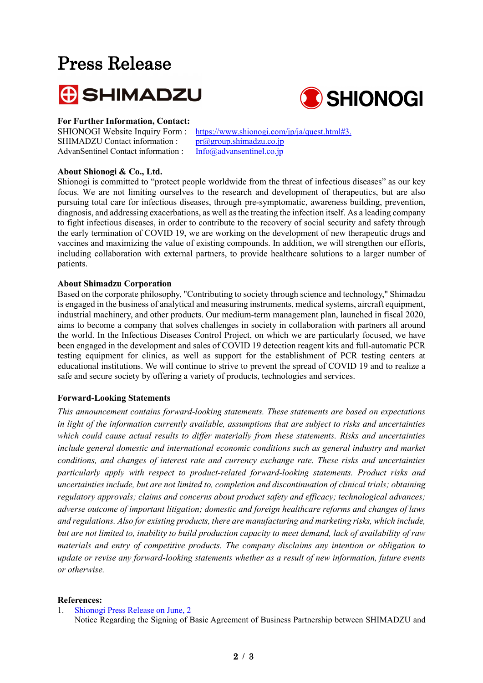## Press Release





#### **For Further Information, Contact:**

SHIMADZU Contact information :  $pr(\partial_{\alpha}$ group.shimadzu.co.jp AdvanSentinel Contact information : [Info@advansentinel.co.jp](mailto:Info@advansentinel.co.jp)

SHIONOGI Website Inquiry Form : <https://www.shionogi.com/jp/ja/quest.html#3.>

#### **About Shionogi & Co., Ltd.**

Shionogi is committed to "protect people worldwide from the threat of infectious diseases" as our key focus. We are not limiting ourselves to the research and development of therapeutics, but are also pursuing total care for infectious diseases, through pre-symptomatic, awareness building, prevention, diagnosis, and addressing exacerbations, as well as the treating the infection itself. As a leading company to fight infectious diseases, in order to contribute to the recovery of social security and safety through the early termination of COVID 19, we are working on the development of new therapeutic drugs and vaccines and maximizing the value of existing compounds. In addition, we will strengthen our efforts, including collaboration with external partners, to provide healthcare solutions to a larger number of patients.

#### **About Shimadzu Corporation**

Based on the corporate philosophy, "Contributing to society through science and technology," Shimadzu is engaged in the business of analytical and measuring instruments, medical systems, aircraft equipment, industrial machinery, and other products. Our medium-term management plan, launched in fiscal 2020, aims to become a company that solves challenges in society in collaboration with partners all around the world. In the Infectious Diseases Control Project, on which we are particularly focused, we have been engaged in the development and sales of COVID 19 detection reagent kits and full-automatic PCR testing equipment for clinics, as well as support for the establishment of PCR testing centers at educational institutions. We will continue to strive to prevent the spread of COVID 19 and to realize a safe and secure society by offering a variety of products, technologies and services.

#### **Forward-Looking Statements**

*This announcement contains forward-looking statements. These statements are based on expectations in light of the information currently available, assumptions that are subject to risks and uncertainties which could cause actual results to differ materially from these statements. Risks and uncertainties include general domestic and international economic conditions such as general industry and market conditions, and changes of interest rate and currency exchange rate. These risks and uncertainties particularly apply with respect to product-related forward-looking statements. Product risks and uncertainties include, but are not limited to, completion and discontinuation of clinical trials; obtaining regulatory approvals; claims and concerns about product safety and efficacy; technological advances; adverse outcome of important litigation; domestic and foreign healthcare reforms and changes of laws and regulations. Also for existing products, there are manufacturing and marketing risks, which include, but are not limited to, inability to build production capacity to meet demand, lack of availability of raw materials and entry of competitive products. The company disclaims any intention or obligation to update or revise any forward-looking statements whether as a result of new information, future events or otherwise.*

#### **References:**

1. [Shionogi Press Release on June, 2](https://www.shionogi.com/global/en/news/2021/06/e-210602.html) Notice Regarding the Signing of Basic Agreement of Business Partnership between SHIMADZU and